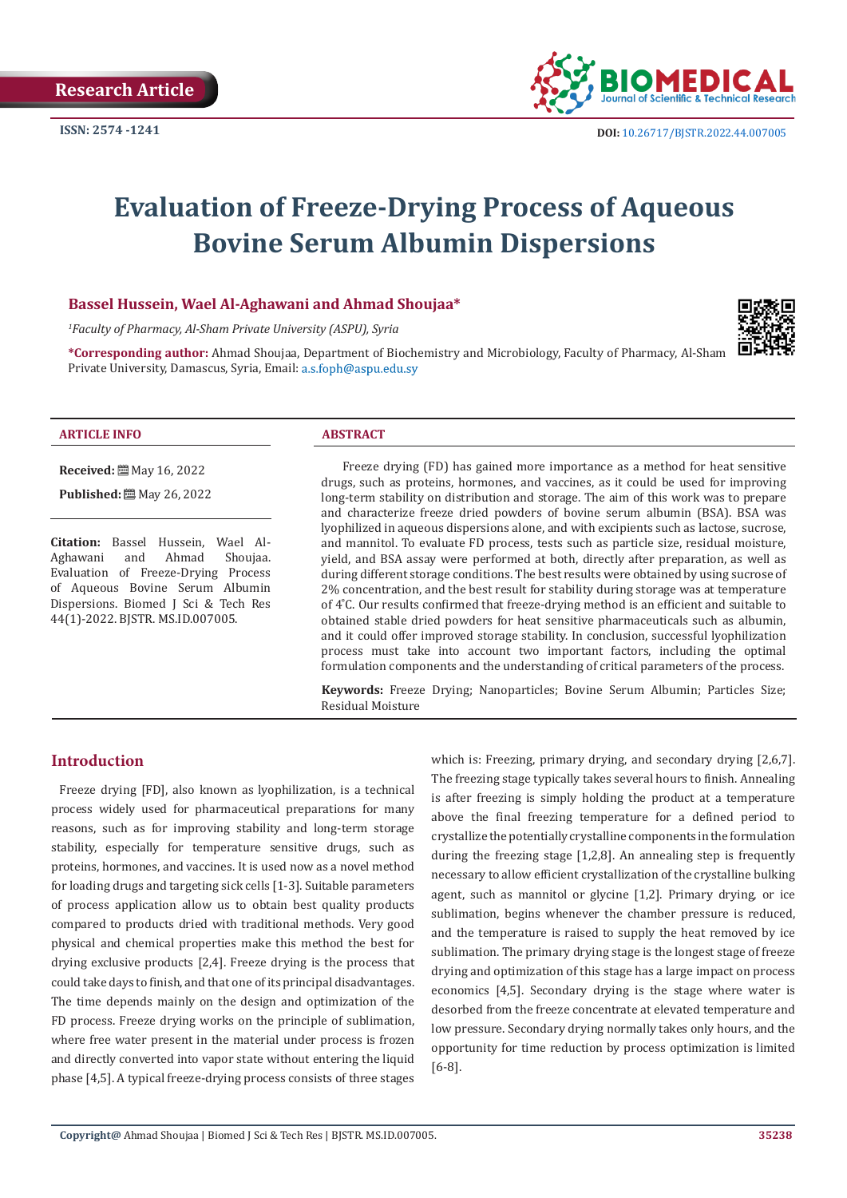

# **Evaluation of Freeze-Drying Process of Aqueous Bovine Serum Albumin Dispersions**

# **Bassel Hussein, Wael Al-Aghawani and Ahmad Shoujaa\***

*1 Faculty of Pharmacy, Al-Sham Private University (ASPU), Syria*

**\*Corresponding author:** Ahmad Shoujaa, Department of Biochemistry and Microbiology, Faculty of Pharmacy, Al-Sham Private University, Damascus, Syria, Email: a.s.foph@aspu.edu.sy



#### **ARTICLE INFO ABSTRACT**

**Received:** May 16, 2022

**Published:** May 26, 2022

**Citation:** Bassel Hussein, Wael Al-Aghawani Evaluation of Freeze-Drying Process of Aqueous Bovine Serum Albumin Dispersions. Biomed J Sci & Tech Res 44(1)-2022. BJSTR. MS.ID.007005.

Freeze drying (FD) has gained more importance as a method for heat sensitive drugs, such as proteins, hormones, and vaccines, as it could be used for improving long-term stability on distribution and storage. The aim of this work was to prepare and characterize freeze dried powders of bovine serum albumin (BSA). BSA was lyophilized in aqueous dispersions alone, and with excipients such as lactose, sucrose, and mannitol. To evaluate FD process, tests such as particle size, residual moisture, yield, and BSA assay were performed at both, directly after preparation, as well as during different storage conditions. The best results were obtained by using sucrose of 2% concentration, and the best result for stability during storage was at temperature of  $4^{\circ}$ C. Our results confirmed that freeze-drying method is an efficient and suitable to obtained stable dried powders for heat sensitive pharmaceuticals such as albumin, and it could offer improved storage stability. In conclusion, successful lyophilization process must take into account two important factors, including the optimal formulation components and the understanding of critical parameters of the process.

**Keywords:** Freeze Drying; Nanoparticles; Bovine Serum Albumin; Particles Size; Residual Moisture

# **Introduction**

Freeze drying [FD], also known as lyophilization, is a technical process widely used for pharmaceutical preparations for many reasons, such as for improving stability and long-term storage stability, especially for temperature sensitive drugs, such as proteins, hormones, and vaccines. It is used now as a novel method for loading drugs and targeting sick cells [1-3]. Suitable parameters of process application allow us to obtain best quality products compared to products dried with traditional methods. Very good physical and chemical properties make this method the best for drying exclusive products [2,4]. Freeze drying is the process that could take days to finish, and that one of its principal disadvantages. The time depends mainly on the design and optimization of the FD process. Freeze drying works on the principle of sublimation, where free water present in the material under process is frozen and directly converted into vapor state without entering the liquid phase [4,5]. A typical freeze-drying process consists of three stages

which is: Freezing, primary drying, and secondary drying [2,6,7]. The freezing stage typically takes several hours to finish. Annealing is after freezing is simply holding the product at a temperature above the final freezing temperature for a defined period to crystallize the potentially crystalline components in the formulation during the freezing stage [1,2,8]. An annealing step is frequently necessary to allow efficient crystallization of the crystalline bulking agent, such as mannitol or glycine [1,2]. Primary drying, or ice sublimation, begins whenever the chamber pressure is reduced, and the temperature is raised to supply the heat removed by ice sublimation. The primary drying stage is the longest stage of freeze drying and optimization of this stage has a large impact on process economics [4,5]. Secondary drying is the stage where water is desorbed from the freeze concentrate at elevated temperature and low pressure. Secondary drying normally takes only hours, and the opportunity for time reduction by process optimization is limited [6-8].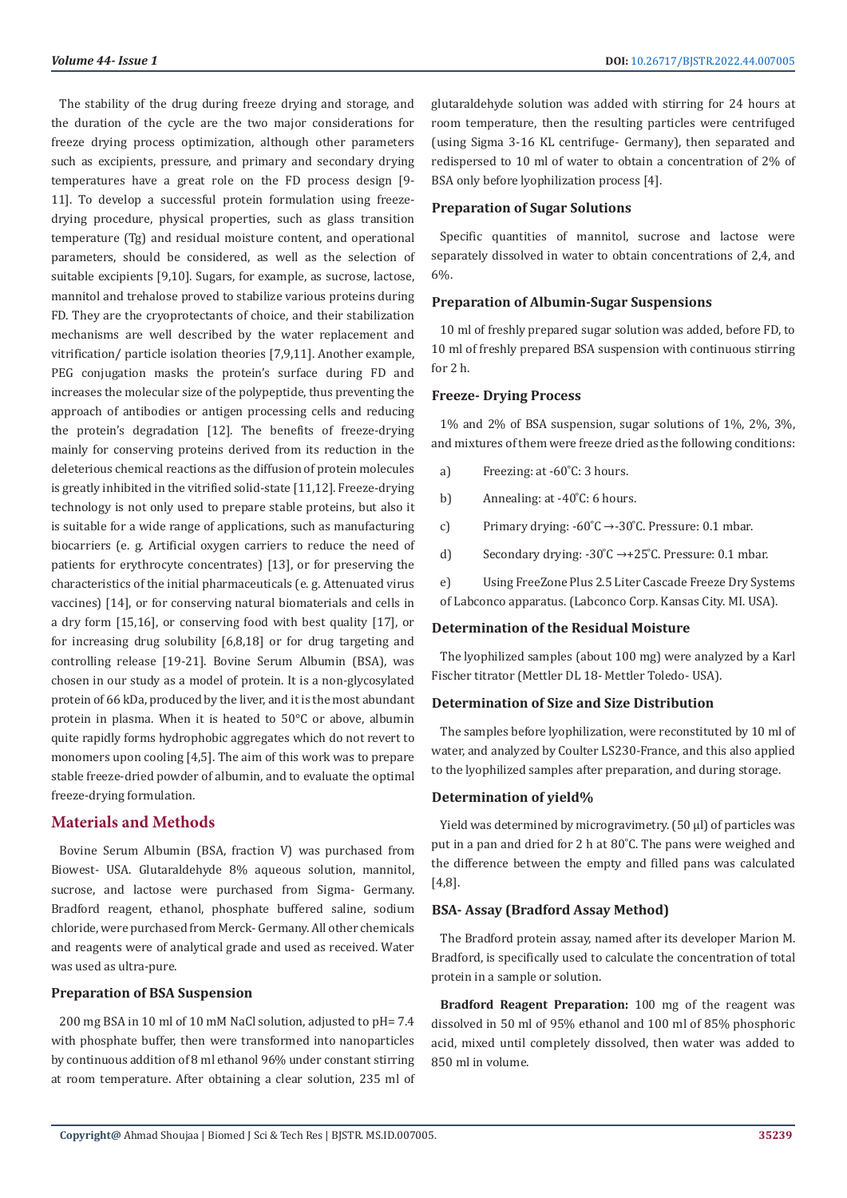The stability of the drug during freeze drying and storage, and the duration of the cycle are the two major considerations for freeze drying process optimization, although other parameters such as excipients, pressure, and primary and secondary drying temperatures have a great role on the FD process design [9- 11]. To develop a successful protein formulation using freezedrying procedure, physical properties, such as glass transition temperature (Tg) and residual moisture content, and operational parameters, should be considered, as well as the selection of suitable excipients [9,10]. Sugars, for example, as sucrose, lactose, mannitol and trehalose proved to stabilize various proteins during FD. They are the cryoprotectants of choice, and their stabilization mechanisms are well described by the water replacement and vitrification/ particle isolation theories [7,9,11]. Another example, PEG conjugation masks the protein's surface during FD and increases the molecular size of the polypeptide, thus preventing the approach of antibodies or antigen processing cells and reducing the protein's degradation [12]. The benefits of freeze-drying mainly for conserving proteins derived from its reduction in the deleterious chemical reactions as the diffusion of protein molecules is greatly inhibited in the vitrified solid-state [11,12]. Freeze-drying technology is not only used to prepare stable proteins, but also it is suitable for a wide range of applications, such as manufacturing biocarriers (e. g. Artificial oxygen carriers to reduce the need of patients for erythrocyte concentrates) [13], or for preserving the characteristics of the initial pharmaceuticals (e. g. Attenuated virus vaccines) [14], or for conserving natural biomaterials and cells in a dry form [15,16], or conserving food with best quality [17], or for increasing drug solubility [6,8,18] or for drug targeting and controlling release [19-21]. Bovine Serum Albumin (BSA), was chosen in our study as a model of protein. It is a non-glycosylated protein of 66 kDa, produced by the liver, and it is the most abundant protein in plasma. When it is heated to 50°C or above, albumin quite rapidly forms hydrophobic aggregates which do not revert to monomers upon cooling [4,5]. The aim of this work was to prepare stable freeze-dried powder of albumin, and to evaluate the optimal freeze-drying formulation.

# **Materials and Methods**

Bovine Serum Albumin (BSA, fraction V) was purchased from Biowest- USA. Glutaraldehyde 8% aqueous solution, mannitol, sucrose, and lactose were purchased from Sigma- Germany. Bradford reagent, ethanol, phosphate buffered saline, sodium chloride, were purchased from Merck- Germany. All other chemicals and reagents were of analytical grade and used as received. Water was used as ultra-pure.

#### **Preparation of BSA Suspension**

200 mg BSA in 10 ml of 10 mM NaCl solution, adjusted to pH= 7.4 with phosphate buffer, then were transformed into nanoparticles by continuous addition of 8 ml ethanol 96% under constant stirring at room temperature. After obtaining a clear solution, 235 ml of glutaraldehyde solution was added with stirring for 24 hours at room temperature, then the resulting particles were centrifuged (using Sigma 3-16 KL centrifuge- Germany), then separated and redispersed to 10 ml of water to obtain a concentration of 2% of BSA only before lyophilization process [4].

#### **Preparation of Sugar Solutions**

Specific quantities of mannitol, sucrose and lactose were separately dissolved in water to obtain concentrations of 2,4, and 6%.

#### **Preparation of Albumin-Sugar Suspensions**

10 ml of freshly prepared sugar solution was added, before FD, to 10 ml of freshly prepared BSA suspension with continuous stirring for 2 h.

### **Freeze- Drying Process**

1% and 2% of BSA suspension, sugar solutions of 1%, 2%, 3%, and mixtures of them were freeze dried as the following conditions:

- a) Freezing: at  $-60^{\circ}$ C: 3 hours.
- b) Annealing: at  $-40^{\circ}$ C: 6 hours.
- c) Primary drying:  $-60^{\circ}C \rightarrow -30^{\circ}C$ . Pressure: 0.1 mbar.
- d) Secondary drying:  $-30^{\circ}C \rightarrow +25^{\circ}C$ . Pressure: 0.1 mbar.

e) Using FreeZone Plus 2.5 Liter Cascade Freeze Dry Systems of Labconco apparatus. (Labconco Corp. Kansas City. MI. USA).

#### **Determination of the Residual Moisture**

The lyophilized samples (about 100 mg) were analyzed by a Karl Fischer titrator (Mettler DL 18- Mettler Toledo- USA).

#### **Determination of Size and Size Distribution**

The samples before lyophilization, were reconstituted by 10 ml of water, and analyzed by Coulter LS230-France, and this also applied to the lyophilized samples after preparation, and during storage.

#### **Determination of yield%**

Yield was determined by microgravimetry. (50 µl) of particles was put in a pan and dried for 2 h at 80°C. The pans were weighed and the difference between the empty and filled pans was calculated [4,8].

# **BSA- Assay (Bradford Assay Method)**

The Bradford protein assay, named after its developer Marion M. Bradford, is specifically used to calculate the concentration of total protein in a sample or solution.

**Bradford Reagent Preparation:** 100 mg of the reagent was dissolved in 50 ml of 95% ethanol and 100 ml of 85% phosphoric acid, mixed until completely dissolved, then water was added to 850 ml in volume.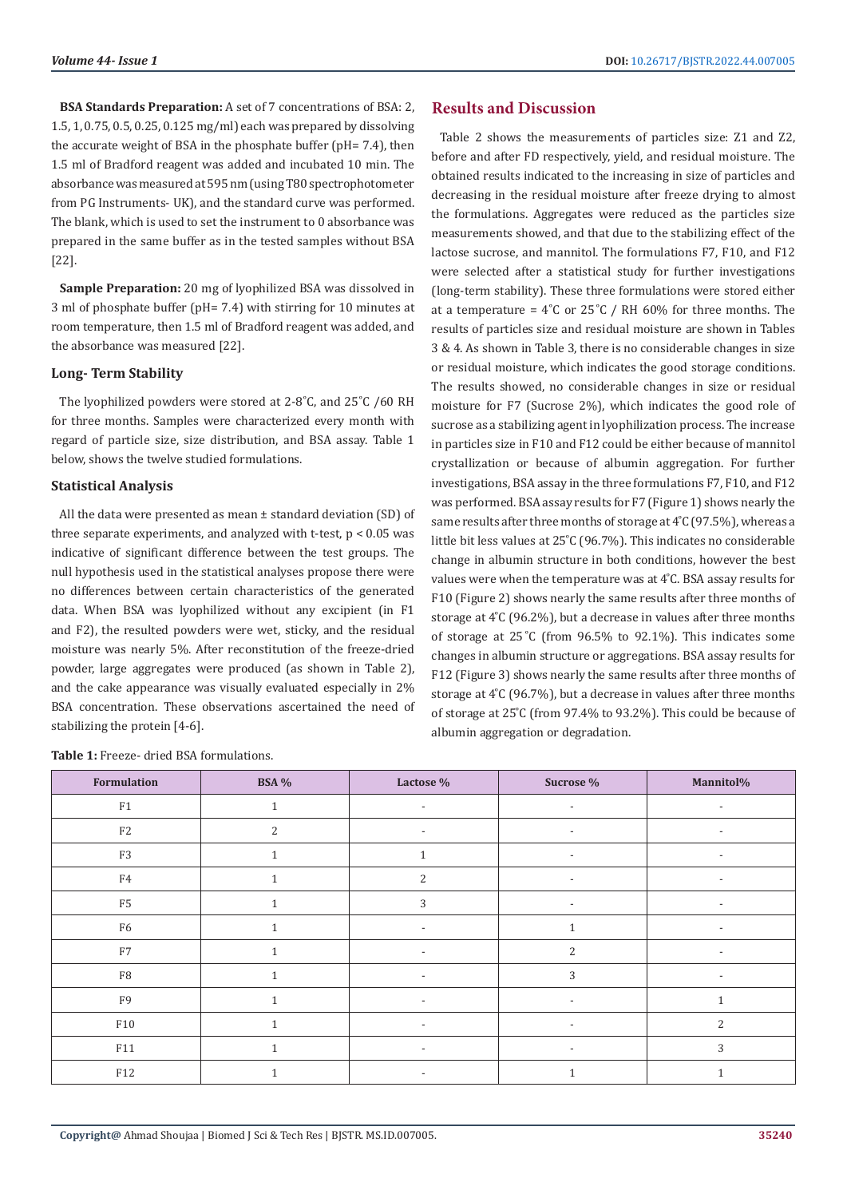**BSA Standards Preparation:** A set of 7 concentrations of BSA: 2, 1.5, 1, 0.75, 0.5, 0.25, 0.125 mg/ml) each was prepared by dissolving the accurate weight of BSA in the phosphate buffer (pH= 7.4), then 1.5 ml of Bradford reagent was added and incubated 10 min. The absorbance was measured at 595 nm (using T80 spectrophotometer from PG Instruments- UK), and the standard curve was performed. The blank, which is used to set the instrument to 0 absorbance was prepared in the same buffer as in the tested samples without BSA [22].

**Sample Preparation:** 20 mg of lyophilized BSA was dissolved in 3 ml of phosphate buffer (pH= 7.4) with stirring for 10 minutes at room temperature, then 1.5 ml of Bradford reagent was added, and the absorbance was measured [22].

#### **Long- Term Stability**

The lyophilized powders were stored at 2-8°C, and 25°C /60 RH for three months. Samples were characterized every month with regard of particle size, size distribution, and BSA assay. Table 1 below, shows the twelve studied formulations.

# **Statistical Analysis**

All the data were presented as mean ± standard deviation (SD) of three separate experiments, and analyzed with t-test, p < 0.05 was indicative of significant difference between the test groups. The null hypothesis used in the statistical analyses propose there were no differences between certain characteristics of the generated data. When BSA was lyophilized without any excipient (in F1 and F2), the resulted powders were wet, sticky, and the residual moisture was nearly 5%. After reconstitution of the freeze-dried powder, large aggregates were produced (as shown in Table 2), and the cake appearance was visually evaluated especially in 2% BSA concentration. These observations ascertained the need of stabilizing the protein [4-6].

**Table 1:** Freeze- dried BSA formulations.

# **Results and Discussion**

Table 2 shows the measurements of particles size: Z1 and Z2, before and after FD respectively, yield, and residual moisture. The obtained results indicated to the increasing in size of particles and decreasing in the residual moisture after freeze drying to almost the formulations. Aggregates were reduced as the particles size measurements showed, and that due to the stabilizing effect of the lactose sucrose, and mannitol. The formulations F7, F10, and F12 were selected after a statistical study for further investigations (long-term stability). These three formulations were stored either at a temperature =  $4^{\circ}$ C or 25 $^{\circ}$ C / RH 60% for three months. The results of particles size and residual moisture are shown in Tables 3 & 4. As shown in Table 3, there is no considerable changes in size or residual moisture, which indicates the good storage conditions. The results showed, no considerable changes in size or residual moisture for F7 (Sucrose 2%), which indicates the good role of sucrose as a stabilizing agent in lyophilization process. The increase in particles size in F10 and F12 could be either because of mannitol crystallization or because of albumin aggregation. For further investigations, BSA assay in the three formulations F7, F10, and F12 was performed. BSA assay results for F7 (Figure 1) shows nearly the same results after three months of storage at 4°C (97.5%), whereas a little bit less values at 25°C (96.7%). This indicates no considerable change in albumin structure in both conditions, however the best values were when the temperature was at 4°C. BSA assay results for F10 (Figure 2) shows nearly the same results after three months of storage at  $4^{\circ}$ C (96.2%), but a decrease in values after three months of storage at  $25^{\circ}$ C (from 96.5% to 92.1%). This indicates some changes in albumin structure or aggregations. BSA assay results for F12 (Figure 3) shows nearly the same results after three months of storage at  $4^{\circ}$ C (96.7%), but a decrease in values after three months of storage at 25°C (from 97.4% to 93.2%). This could be because of albumin aggregation or degradation.

| Formulation    | <b>BSA</b> % | Lactose %                | Sucrose %                | Mannitol%                |
|----------------|--------------|--------------------------|--------------------------|--------------------------|
| F1             | $\mathbf{1}$ | $\overline{\phantom{a}}$ | $\overline{\phantom{a}}$ | $\overline{\phantom{a}}$ |
| F <sub>2</sub> | 2            | $\overline{\phantom{a}}$ | $\overline{\phantom{a}}$ | $\overline{\phantom{a}}$ |
| F3             | $\mathbf{1}$ | $\mathbf{1}$             | $\overline{\phantom{a}}$ | $\overline{\phantom{a}}$ |
| F4             | $\mathbf{1}$ | 2                        | $\overline{\phantom{a}}$ | $\overline{\phantom{a}}$ |
| F <sub>5</sub> | 1            | 3                        | $\overline{\phantom{a}}$ | $\overline{\phantom{a}}$ |
| F <sub>6</sub> | $\mathbf{1}$ | $\overline{\phantom{a}}$ |                          |                          |
| ${\rm F}7$     |              | $\overline{\phantom{a}}$ | $\overline{2}$           |                          |
| ${\rm F}8$     |              | $\overline{\phantom{a}}$ | 3                        | $\overline{\phantom{a}}$ |
| F9             | $\mathbf{1}$ | $\overline{\phantom{a}}$ | $\overline{\phantom{a}}$ | $\mathbf{1}$             |
| F10            | $\mathbf{1}$ | $\overline{\phantom{a}}$ | $\overline{\phantom{a}}$ | 2                        |
| F11            |              | $\overline{\phantom{a}}$ | $\overline{\phantom{a}}$ | 3                        |
| F12            | $\mathbf{1}$ | $\overline{\phantom{a}}$ | 1                        | $\mathbf{1}$             |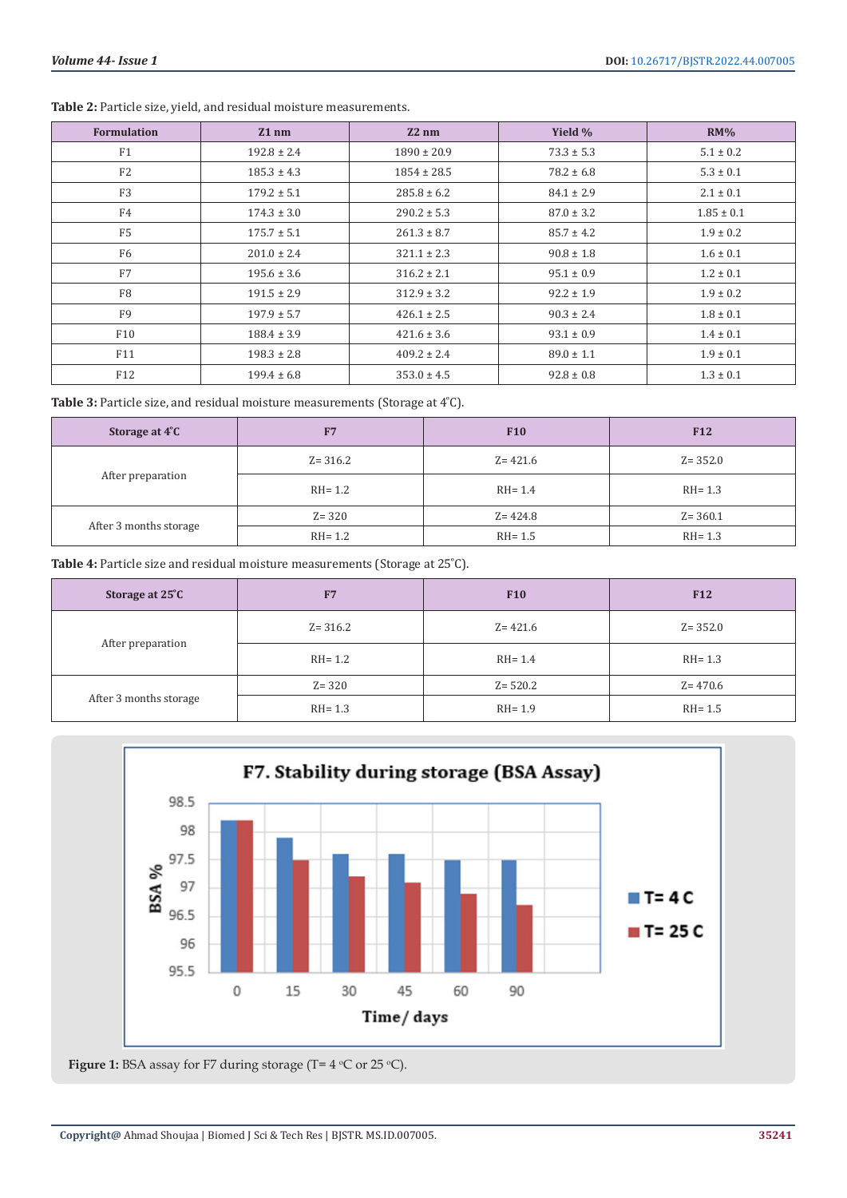| <b>Formulation</b> | $Z1$ nm         | $Z2$ nm         | Yield %        | RM%            |
|--------------------|-----------------|-----------------|----------------|----------------|
| F1                 | $192.8 \pm 2.4$ | $1890 \pm 20.9$ | $73.3 \pm 5.3$ | $5.1 \pm 0.2$  |
| F <sub>2</sub>     | $185.3 \pm 4.3$ | $1854 \pm 28.5$ | $78.2 \pm 6.8$ | $5.3 \pm 0.1$  |
| F <sub>3</sub>     | $179.2 \pm 5.1$ | $285.8 \pm 6.2$ | $84.1 \pm 2.9$ | $2.1 \pm 0.1$  |
| F4                 | $174.3 \pm 3.0$ | $290.2 \pm 5.3$ | $87.0 \pm 3.2$ | $1.85 \pm 0.1$ |
| F <sub>5</sub>     | $175.7 \pm 5.1$ | $261.3 \pm 8.7$ | $85.7 \pm 4.2$ | $1.9 \pm 0.2$  |
| F <sub>6</sub>     | $201.0 \pm 2.4$ | $321.1 \pm 2.3$ | $90.8 \pm 1.8$ | $1.6 \pm 0.1$  |
| F7                 | $195.6 \pm 3.6$ | $316.2 \pm 2.1$ | $95.1 \pm 0.9$ | $1.2 \pm 0.1$  |
| F <sub>8</sub>     | $191.5 \pm 2.9$ | $312.9 \pm 3.2$ | $92.2 \pm 1.9$ | $1.9 \pm 0.2$  |
| F <sub>9</sub>     | $197.9 \pm 5.7$ | $426.1 \pm 2.5$ | $90.3 \pm 2.4$ | $1.8 \pm 0.1$  |
| F10                | $188.4 \pm 3.9$ | $421.6 \pm 3.6$ | $93.1 \pm 0.9$ | $1.4 \pm 0.1$  |
| F11                | $198.3 \pm 2.8$ | $409.2 \pm 2.4$ | $89.0 \pm 1.1$ | $1.9 \pm 0.1$  |
| F12                | $199.4 \pm 6.8$ | $353.0 \pm 4.5$ | $92.8 \pm 0.8$ | $1.3 \pm 0.1$  |

Table 2: Particle size, yield, and residual moisture measurements.

Table 3: Particle size, and residual moisture measurements (Storage at 4°C).

| Storage at 4°C         | F7          | <b>F10</b>  | F <sub>12</sub> |
|------------------------|-------------|-------------|-----------------|
| After preparation      | $Z = 316.2$ | $Z = 421.6$ | $Z = 352.0$     |
|                        | $RH=1.2$    | $RH = 1.4$  | $RH = 1.3$      |
| After 3 months storage | $Z = 320$   | $Z = 424.8$ | $Z = 360.1$     |
|                        | $RH=1.2$    | $RH = 1.5$  | $RH = 1.3$      |

Table 4: Particle size and residual moisture measurements (Storage at 25°C).

| Storage at 25°C        | F7          | <b>F10</b>  | <b>F12</b>  |
|------------------------|-------------|-------------|-------------|
| After preparation      | $Z = 316.2$ | $Z = 421.6$ | $Z = 352.0$ |
|                        | $RH=1.2$    | $RH = 1.4$  | $RH = 1.3$  |
| After 3 months storage | $Z = 320$   | $Z = 520.2$ | $Z = 470.6$ |
|                        | $RH = 1.3$  | $RH = 1.9$  | RH= 1.5     |



**Figure 1:** BSA assay for F7 during storage ( $T = 4$  °C or 25 °C).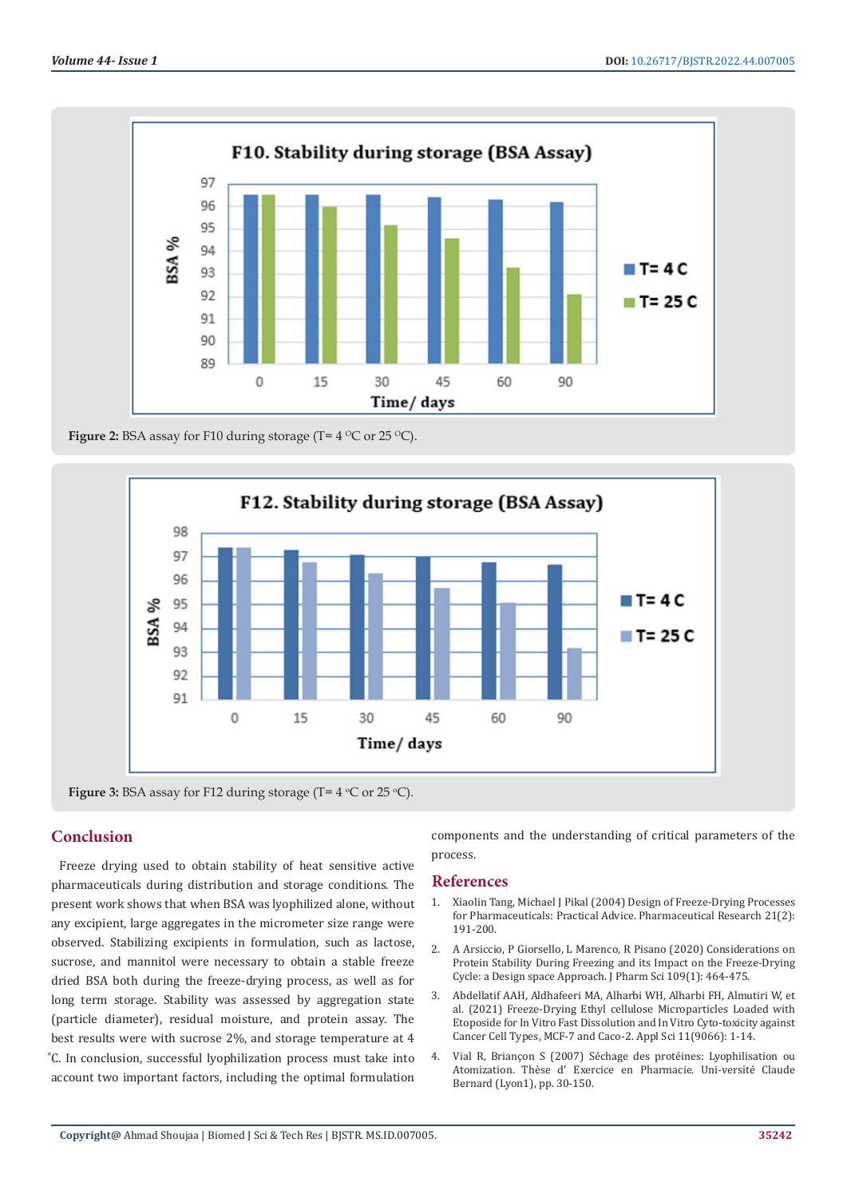

**Figure 2:** BSA assay for F10 during storage (T= $4^{\circ}$ C or 25 $^{\circ}$ C).



**Figure 3:** BSA assay for F12 during storage ( $T = 4$  °C or 25 °C).

# **Conclusion**

Freeze drying used to obtain stability of heat sensitive active pharmaceuticals during distribution and storage conditions. The present work shows that when BSA was lyophilized alone, without any excipient, large aggregates in the micrometer size range were observed. Stabilizing excipients in formulation, such as lactose, sucrose, and mannitol were necessary to obtain a stable freeze dried BSA both during the freeze-drying process, as well as for long term storage. Stability was assessed by aggregation state (particle diameter), residual moisture, and protein assay. The best results were with sucrose 2%, and storage temperature at 4 ͦC. In conclusion, successful lyophilization process must take into account two important factors, including the optimal formulation

components and the understanding of critical parameters of the process.

#### **References**

- 1. [Xiaolin Tang, Michael J Pikal \(2004\) Design of Freeze-Drying Processes](https://pubmed.ncbi.nlm.nih.gov/15032301/) [for Pharmaceuticals: Practical Advice. Pharmaceutical Research 21\(2\):](https://pubmed.ncbi.nlm.nih.gov/15032301/) [191-200.](https://pubmed.ncbi.nlm.nih.gov/15032301/)
- 2. [A Arsiccio, P Giorsello, L Marenco, R Pisano \(2020\) Considerations on](https://pubmed.ncbi.nlm.nih.gov/31647953/) [Protein Stability During Freezing and its Impact on the Freeze-Drying](https://pubmed.ncbi.nlm.nih.gov/31647953/) [Cycle: a Design space Approach. J Pharm Sci 109\(1\): 464-475.](https://pubmed.ncbi.nlm.nih.gov/31647953/)
- 3. [Abdellatif AAH, Aldhafeeri MA, Alharbi WH, Alharbi FH, Almutiri W, et](https://www.researchgate.net/publication/354919103_Freeze-Drying_Ethylcellulose_Microparticles_Loaded_with_Etoposide_for_In_Vitro_Fast_Dissolution_and_In_Vitro_Cytotoxicity_against_Cancer_Cell_Types_MCF-7_and_Caco-2) [al. \(2021\) Freeze-Drying Ethyl cellulose Microparticles Loaded with](https://www.researchgate.net/publication/354919103_Freeze-Drying_Ethylcellulose_Microparticles_Loaded_with_Etoposide_for_In_Vitro_Fast_Dissolution_and_In_Vitro_Cytotoxicity_against_Cancer_Cell_Types_MCF-7_and_Caco-2) [Etoposide for In Vitro Fast Dissolution and In Vitro Cyto-toxicity against](https://www.researchgate.net/publication/354919103_Freeze-Drying_Ethylcellulose_Microparticles_Loaded_with_Etoposide_for_In_Vitro_Fast_Dissolution_and_In_Vitro_Cytotoxicity_against_Cancer_Cell_Types_MCF-7_and_Caco-2) [Cancer Cell Types, MCF-7 and Caco-2. Appl Sci 11\(9066\): 1-14.](https://www.researchgate.net/publication/354919103_Freeze-Drying_Ethylcellulose_Microparticles_Loaded_with_Etoposide_for_In_Vitro_Fast_Dissolution_and_In_Vitro_Cytotoxicity_against_Cancer_Cell_Types_MCF-7_and_Caco-2)
- 4. Vial R, Briançon S (2007) Séchage des protéines: Lyophilisation ou Atomization. Thèse d' Exercice en Pharmacie. Uni-versité Claude Bernard (Lyon1), pp. 30-150.